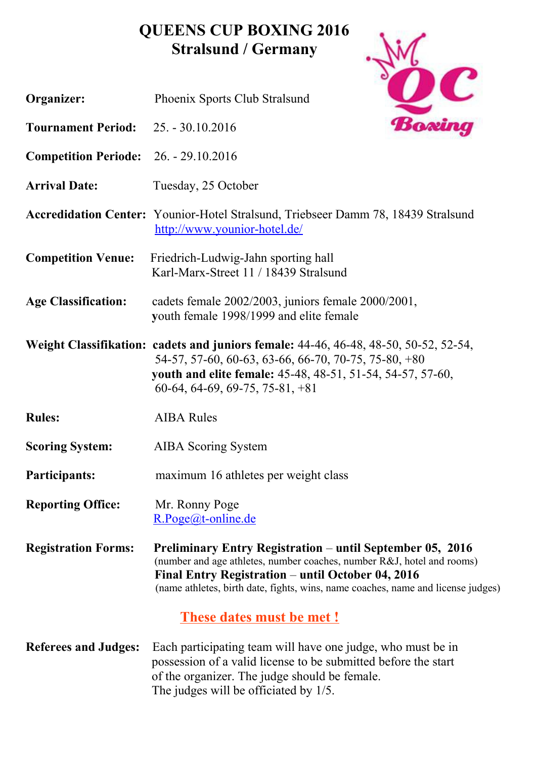## **QUEENS CUP BOXING 2016 Stralsund / Germany**



The judges will be officiated by 1/5.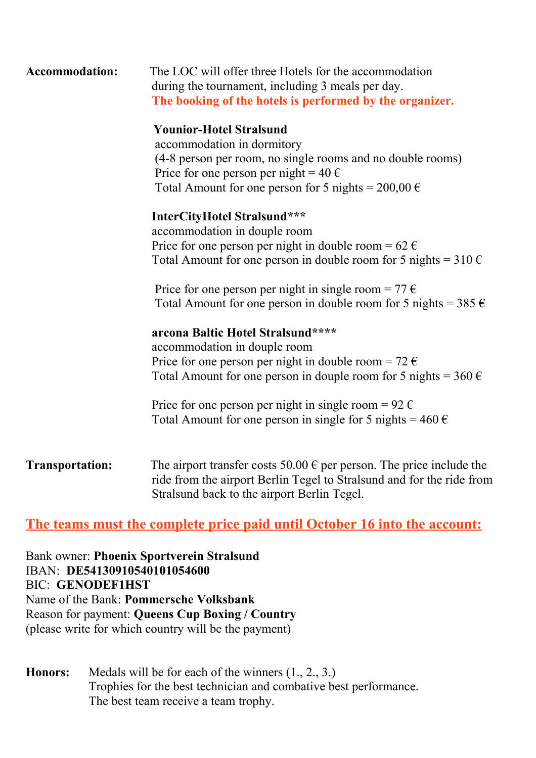| <b>Accommodation:</b> | The LOC will offer three Hotels for the accommodation    |  |  |
|-----------------------|----------------------------------------------------------|--|--|
|                       | during the tournament, including 3 meals per day.        |  |  |
|                       | The booking of the hotels is performed by the organizer. |  |  |

#### **Younior-Hotel Stralsund**

accommodation in dormitory (4-8 person per room, no single rooms and no double rooms) Price for one person per night =  $40 \text{ } \in$ Total Amount for one person for 5 nights =  $200,00 \in$ 

#### **InterCityHotel Stralsund\*\*\***

 accommodation in douple room Price for one person per night in double room =  $62 \text{ } \in$ Total Amount for one person in double room for 5 nights =  $310 \text{ } \in$ 

Price for one person per night in single room =  $77 \text{ } \in$ Total Amount for one person in double room for 5 nights =  $385 \in$ 

#### **arcona Baltic Hotel Stralsund\*\*\*\***

 accommodation in douple room Price for one person per night in double room =  $72 \text{ } \in$ Total Amount for one person in douple room for 5 nights =  $360 \text{ } \in$ 

Price for one person per night in single room =  $92 \text{ } \in$ Total Amount for one person in single for 5 nights =  $460 \in$ 

**Transportation:** The airport transfer costs  $50.00 \in \text{per person}$ . The price include the ride from the airport Berlin Tegel to Stralsund and for the ride from Stralsund back to the airport Berlin Tegel.

### **The teams must the complete price paid until October 16 into the account:**

Bank owner: **Phoenix Sportverein Stralsund** IBAN: **DE54130910540101054600** BIC: **GENODEF1HST** Name of the Bank: **Pommersche Volksbank** Reason for payment: **Queens Cup Boxing / Country**  (please write for which country will be the payment)

**Honors:** Medals will be for each of the winners (1., 2., 3.) Trophies for the best technician and combative best performance. The best team receive a team trophy.